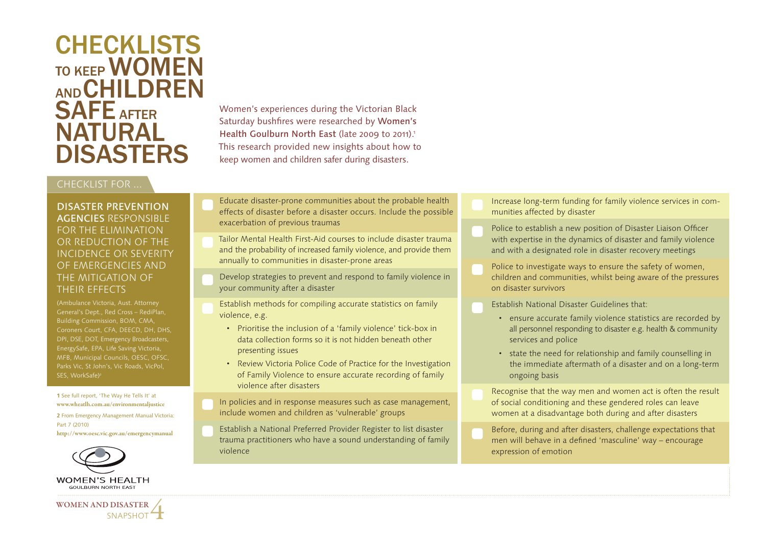# **CHECKLISTS** TO KEEP **WOMEN** AND CHILDREN SAFE AFTER **NATURAL** DISASTERS

### CHECKLIST FOR ...

DISASTER PREVENTION AGENCIES RESPONSIBLE FOR THE ELIMINATION OR REDUCTION OF THE INCIDENCE OR SEVERITY OF EMERGENCIES AND THE MITIGATION OF THEIR EFFECTS

(Ambulance Victoria, Aust. Attorney General's Dept., Red Cross – RediPlan, Building Commission, BOM, CMA, Coroners Court, CFA, DEECD, DH, DHS, DPI, DSE, DOT, Emergency Broadcasters, EnergySafe, EPA, Life Saving Victoria, MFB, Municipal Councils, OESC, OFSC, Parks Vic, St John's, Vic Roads, VicPol,

**<sup>1</sup>** See full report, 'The Way He Tells It' at **2** From Emergency Management Manual Victoria:

**http://www.oesc.vic.gov.au/emergencymanual**



**WOMEN AND DISASTER** 

Women's experiences during the Victorian Black Saturday bushfires were researched by Women's Health Goulburn North East (late 2009 to 2011).<sup>1</sup> This research provided new insights about how to keep women and children safer during disasters.

- Educate disaster-prone communities about the probable health effects of disaster before a disaster occurs. Include the possible exacerbation of previous traumas
- Tailor Mental Health First-Aid courses to include disaster trauma and the probability of increased family violence, and provide them annually to communities in disaster-prone areas
- Develop strategies to prevent and respond to family violence in your community after a disaster
- Establish methods for compiling accurate statistics on family violence, e.g.
	- Prioritise the inclusion of a 'family violence' tick-box in data collection forms so it is not hidden beneath other presenting issues
	- Review Victoria Police Code of Practice for the Investigation of Family Violence to ensure accurate recording of family violence after disasters
- In policies and in response measures such as case management, include women and children as 'vulnerable' groups
- Establish a National Preferred Provider Register to list disaster trauma practitioners who have a sound understanding of family violence
- Increase long-term funding for family violence services in communities affected by disaster
- Police to establish a new position of Disaster Liaison Officer with expertise in the dynamics of disaster and family violence and with a designated role in disaster recovery meetings
- Police to investigate ways to ensure the safety of women, children and communities, whilst being aware of the pressures on disaster survivors
	- Establish National Disaster Guidelines that:
		- ensure accurate family violence statistics are recorded by all personnel responding to disaster e.g. health & community services and police
		- state the need for relationship and family counselling in the immediate aftermath of a disaster and on a long-term ongoing basis
	- Recognise that the way men and women act is often the result of social conditioning and these gendered roles can leave women at a disadvantage both during and after disasters
- Before, during and after disasters, challenge expectations that men will behave in a defined 'masculine' way – encourage expression of emotion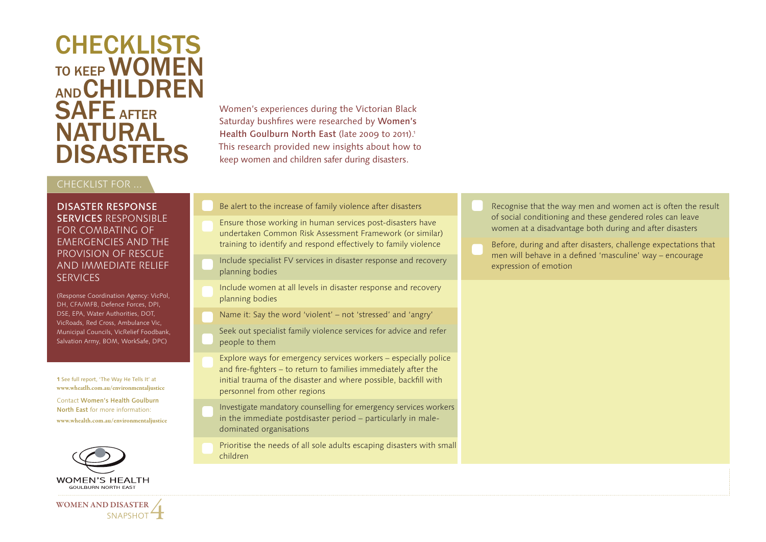# **CHECKLISTS** TO KEEP **WOMEN** AND CHILDREN SAFE AFTER **NATURAL** DISASTERS

### CHECKLIST FOR ...

DISASTER RESPONSE SERVICES RESPONSIBLE FOR COMBATING OF EMERGENCIES AND THE PROVISION OF RESCUE AND IMMEDIATE RELIEF SERVICES

(Response Coordination Agency: VicPol, DH, CFA/MFB, Defence Forces, DPI, DSE, EPA, Water Authorities, DOT, VicRoads, Red Cross, Ambulance Vic, Municipal Councils, VicRelief Foodbank, Salvation Army, BOM, WorkSafe, DPC)

**<sup>1</sup>** See full report, 'The Way He Tells It' at **www.wheatlh.com.au/environmentaljustice** 

Contact Women's Health Goulburn North East for more information: **www.whealth.com.au/environmentaljustice**



**WOMEN AND DISASTER** 

Women's experiences during the Victorian Black Saturday bushfires were researched by Women's Health Goulburn North East (late 2009 to 2011).<sup>1</sup> This research provided new insights about how to keep women and children safer during disasters.

- Be alert to the increase of family violence after disasters
- Ensure those working in human services post-disasters have undertaken Common Risk Assessment Framework (or similar) training to identify and respond effectively to family violence
- Include specialist FV services in disaster response and recovery planning bodies
- Include women at all levels in disaster response and recovery planning bodies
- Name it: Say the word 'violent' not 'stressed' and 'angry'
- Seek out specialist family violence services for advice and refer people to them
- Explore ways for emergency services workers especially police and fire-fighters – to return to families immediately after the initial trauma of the disaster and where possible, backfill with personnel from other regions
- Investigate mandatory counselling for emergency services workers in the immediate postdisaster period – particularly in maledominated organisations
- Prioritise the needs of all sole adults escaping disasters with small children
- Recognise that the way men and women act is often the result of social conditioning and these gendered roles can leave women at a disadvantage both during and after disasters
- Before, during and after disasters, challenge expectations that men will behave in a defined 'masculine' way – encourage expression of emotion